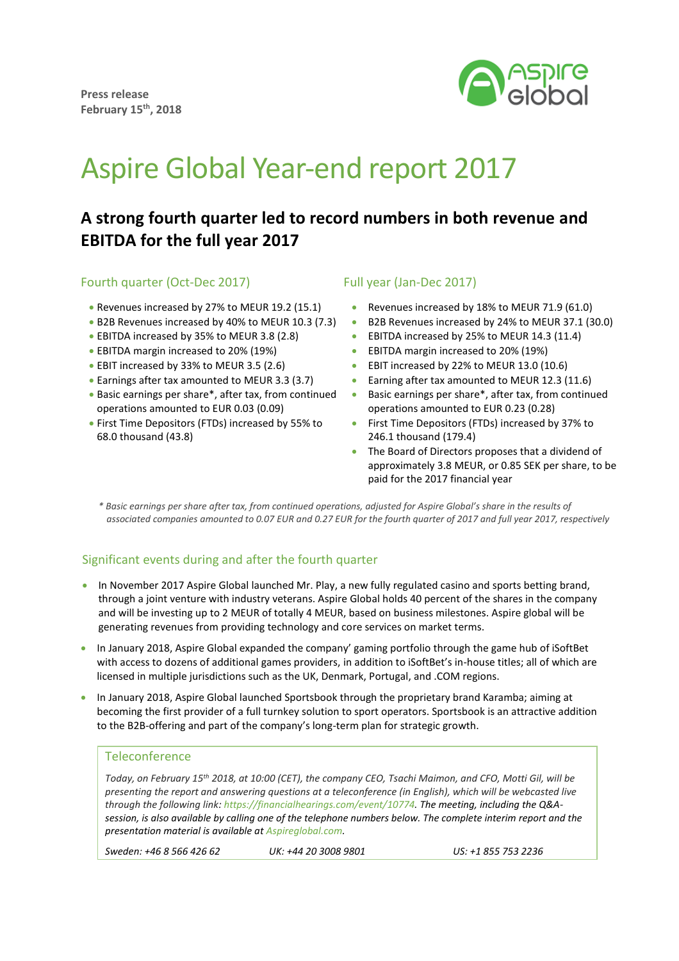

# Aspire Global Year-end report 2017

# **A strong fourth quarter led to record numbers in both revenue and EBITDA for the full year 2017**

## Fourth quarter (Oct-Dec 2017)

- Revenues increased by 27% to MEUR 19.2 (15.1)
- B2B Revenues increased by 40% to MEUR 10.3 (7.3)
- EBITDA increased by 35% to MEUR 3.8 (2.8)
- EBITDA margin increased to 20% (19%)
- EBIT increased by 33% to MEUR 3.5 (2.6)
- Earnings after tax amounted to MEUR 3.3 (3.7)
- Basic earnings per share\*, after tax, from continued operations amounted to EUR 0.03 (0.09)
- First Time Depositors (FTDs) increased by 55% to 68.0 thousand (43.8)

## Full year (Jan-Dec 2017)

- Revenues increased by 18% to MEUR 71.9 (61.0)
- B2B Revenues increased by 24% to MEUR 37.1 (30.0)
- EBITDA increased by 25% to MEUR 14.3 (11.4)
- **EBITDA margin increased to 20% (19%)**
- EBIT increased by 22% to MEUR 13.0 (10.6)
- **Earning after tax amounted to MEUR 12.3 (11.6)**
- Basic earnings per share\*, after tax, from continued operations amounted to EUR 0.23 (0.28)
- **•** First Time Depositors (FTDs) increased by 37% to 246.1 thousand (179.4)
- The Board of Directors proposes that a dividend of approximately 3.8 MEUR, or 0.85 SEK per share, to be paid for the 2017 financial year

*\* Basic earnings per share after tax, from continued operations, adjusted for Aspire Global's share in the results of associated companies amounted to 0.07 EUR and 0.27 EUR for the fourth quarter of 2017 and full year 2017, respectively* 

# Significant events during and after the fourth quarter

- In November 2017 Aspire Global launched Mr. Play, a new fully regulated casino and sports betting brand, through a joint venture with industry veterans. Aspire Global holds 40 percent of the shares in the company and will be investing up to 2 MEUR of totally 4 MEUR, based on business milestones. Aspire global will be generating revenues from providing technology and core services on market terms.
- In January 2018, Aspire Global expanded the company' gaming portfolio through the game hub of iSoftBet with access to dozens of additional games providers, in addition to iSoftBet's in-house titles; all of which are licensed in multiple jurisdictions such as the UK, Denmark, Portugal, and .COM regions.
- In January 2018, Aspire Global launched Sportsbook through the proprietary brand Karamba; aiming at becoming the first provider of a full turnkey solution to sport operators. Sportsbook is an attractive addition to the B2B-offering and part of the company's long-term plan for strategic growth.

#### **Teleconference**

*Today, on February 15th 2018, at 10:00 (CET), the company CEO, Tsachi Maimon, and CFO, Motti Gil, will be presenting the report and answering questions at a teleconference (in English), which will be webcasted live through the following link: https://financialhearings.com/event/10774. The meeting, including the Q&Asession, is also available by calling one of the telephone numbers below. The complete interim report and the presentation material is available a[t Aspireglobal.com.](http://www.aspireglobal.com/)*

*Sweden: +46 8 566 426 62 UK: +44 20 3008 9801 US: +1 855 753 2236*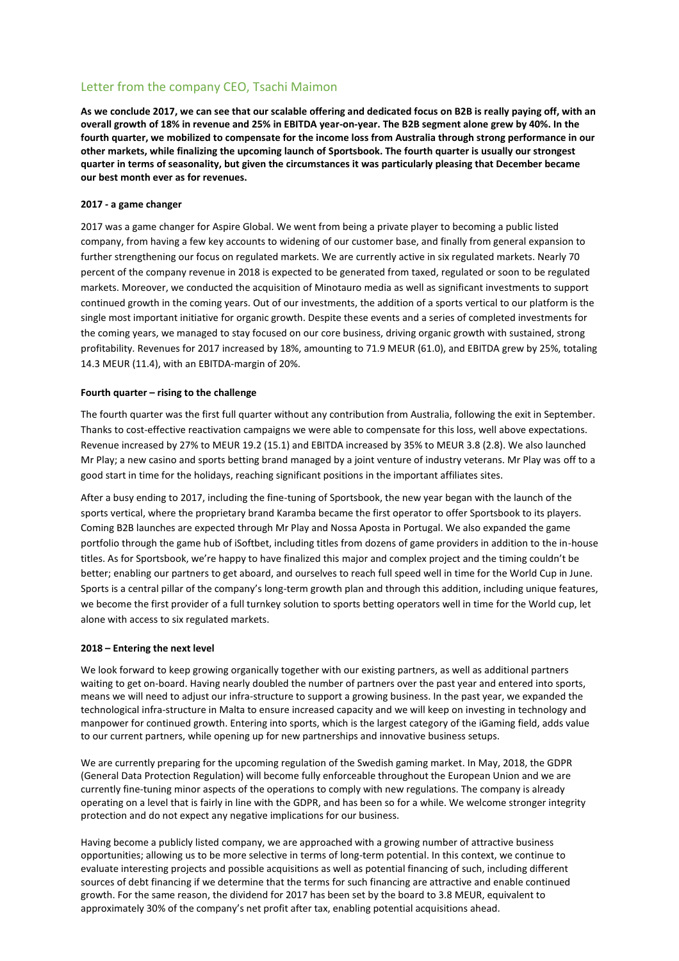# Letter from the company CEO, Tsachi Maimon

**As we conclude 2017, we can see that our scalable offering and dedicated focus on B2B is really paying off, with an overall growth of 18% in revenue and 25% in EBITDA year-on-year. The B2B segment alone grew by 40%. In the fourth quarter, we mobilized to compensate for the income loss from Australia through strong performance in our other markets, while finalizing the upcoming launch of Sportsbook. The fourth quarter is usually our strongest quarter in terms of seasonality, but given the circumstances it was particularly pleasing that December became our best month ever as for revenues.** 

#### **2017 - a game changer**

2017 was a game changer for Aspire Global. We went from being a private player to becoming a public listed company, from having a few key accounts to widening of our customer base, and finally from general expansion to further strengthening our focus on regulated markets. We are currently active in six regulated markets. Nearly 70 percent of the company revenue in 2018 is expected to be generated from taxed, regulated or soon to be regulated markets. Moreover, we conducted the acquisition of Minotauro media as well as significant investments to support continued growth in the coming years. Out of our investments, the addition of a sports vertical to our platform is the single most important initiative for organic growth. Despite these events and a series of completed investments for the coming years, we managed to stay focused on our core business, driving organic growth with sustained, strong profitability. Revenues for 2017 increased by 18%, amounting to 71.9 MEUR (61.0), and EBITDA grew by 25%, totaling 14.3 MEUR (11.4), with an EBITDA-margin of 20%.

#### **Fourth quarter – rising to the challenge**

The fourth quarter was the first full quarter without any contribution from Australia, following the exit in September. Thanks to cost-effective reactivation campaigns we were able to compensate for this loss, well above expectations. Revenue increased by 27% to MEUR 19.2 (15.1) and EBITDA increased by 35% to MEUR 3.8 (2.8). We also launched Mr Play; a new casino and sports betting brand managed by a joint venture of industry veterans. Mr Play was off to a good start in time for the holidays, reaching significant positions in the important affiliates sites.

After a busy ending to 2017, including the fine-tuning of Sportsbook, the new year began with the launch of the sports vertical, where the proprietary brand Karamba became the first operator to offer Sportsbook to its players. Coming B2B launches are expected through Mr Play and Nossa Aposta in Portugal. We also expanded the game portfolio through the game hub of iSoftbet, including titles from dozens of game providers in addition to the in-house titles. As for Sportsbook, we're happy to have finalized this major and complex project and the timing couldn't be better; enabling our partners to get aboard, and ourselves to reach full speed well in time for the World Cup in June. Sports is a central pillar of the company's long-term growth plan and through this addition, including unique features, we become the first provider of a full turnkey solution to sports betting operators well in time for the World cup, let alone with access to six regulated markets.

#### **2018 – Entering the next level**

We look forward to keep growing organically together with our existing partners, as well as additional partners waiting to get on-board. Having nearly doubled the number of partners over the past year and entered into sports, means we will need to adjust our infra-structure to support a growing business. In the past year, we expanded the technological infra-structure in Malta to ensure increased capacity and we will keep on investing in technology and manpower for continued growth. Entering into sports, which is the largest category of the iGaming field, adds value to our current partners, while opening up for new partnerships and innovative business setups.

We are currently preparing for the upcoming regulation of the Swedish gaming market. In May, 2018, the GDPR (General Data Protection Regulation) will become fully enforceable throughout the European Union and we are currently fine-tuning minor aspects of the operations to comply with new regulations. The company is already operating on a level that is fairly in line with the GDPR, and has been so for a while. We welcome stronger integrity protection and do not expect any negative implications for our business.

Having become a publicly listed company, we are approached with a growing number of attractive business opportunities; allowing us to be more selective in terms of long-term potential. In this context, we continue to evaluate interesting projects and possible acquisitions as well as potential financing of such, including different sources of debt financing if we determine that the terms for such financing are attractive and enable continued growth. For the same reason, the dividend for 2017 has been set by the board to 3.8 MEUR, equivalent to approximately 30% of the company's net profit after tax, enabling potential acquisitions ahead.